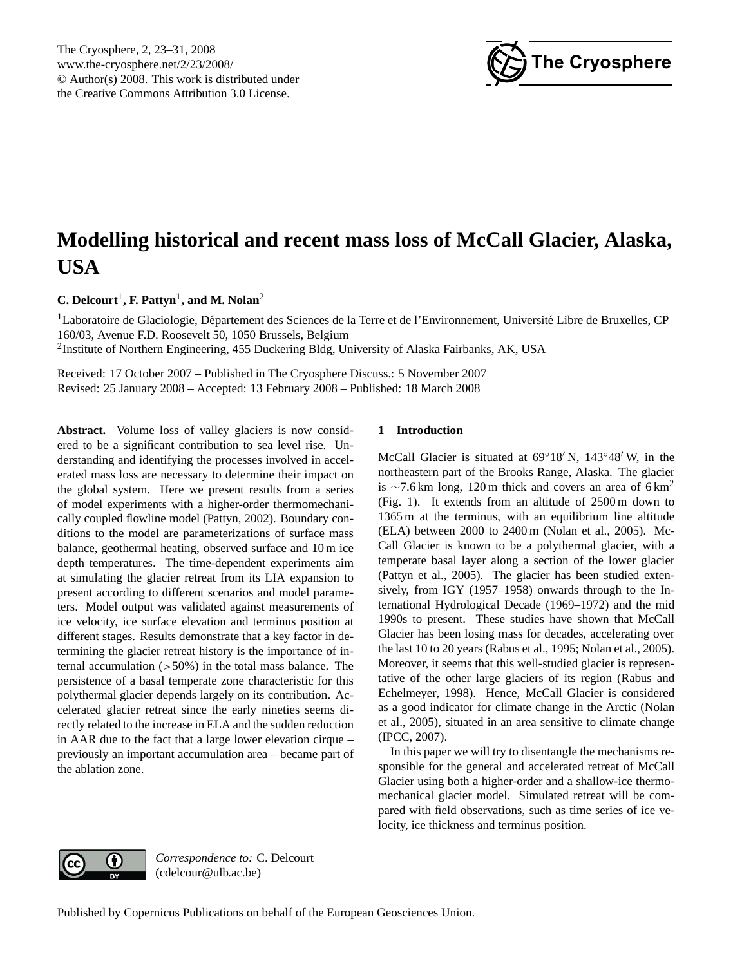<span id="page-0-0"></span>The Cryosphere, 2, 23–31, 2008 www.the-cryosphere.net/2/23/2008/ © Author(s) 2008. This work is distributed under the Creative Commons Attribution 3.0 License.



# **Modelling historical and recent mass loss of McCall Glacier, Alaska, USA**

**C. Delcourt<sup>1</sup>, F. Pattyn<sup>1</sup>, and M. Nolan<sup>2</sup>** 

 ${}^{1}$ Laboratoire de Glaciologie, Département des Sciences de la Terre et de l'Environnement, Université Libre de Bruxelles, CP 160/03, Avenue F.D. Roosevelt 50, 1050 Brussels, Belgium <sup>2</sup>Institute of Northern Engineering, 455 Duckering Bldg, University of Alaska Fairbanks, AK, USA

Received: 17 October 2007 – Published in The Cryosphere Discuss.: 5 November 2007 Revised: 25 January 2008 – Accepted: 13 February 2008 – Published: 18 March 2008

Abstract. Volume loss of valley glaciers is now considered to be a significant contribution to sea level rise. Understanding and identifying the processes involved in accelerated mass loss are necessary to determine their impact on the global system. Here we present results from a series of model experiments with a higher-order thermomechanically coupled flowline model (Pattyn, 2002). Boundary conditions to the model are parameterizations of surface mass balance, geothermal heating, observed surface and 10 m ice depth temperatures. The time-dependent experiments aim at simulating the glacier retreat from its LIA expansion to present according to different scenarios and model parameters. Model output was validated against measurements of ice velocity, ice surface elevation and terminus position at different stages. Results demonstrate that a key factor in determining the glacier retreat history is the importance of internal accumulation  $(50\%)$  in the total mass balance. The persistence of a basal temperate zone characteristic for this polythermal glacier depends largely on its contribution. Accelerated glacier retreat since the early nineties seems directly related to the increase in ELA and the sudden reduction in AAR due to the fact that a large lower elevation cirque – previously an important accumulation area – became part of the ablation zone.

# **1 Introduction**

McCall Glacier is situated at  $69°18'$  N,  $143°48'$  W, in the northeastern part of the Brooks Range, Alaska. The glacier is ∼7.6 km long, 120 m thick and covers an area of 6 km<sup>2</sup> (Fig. [1\)](#page-1-0). It extends from an altitude of 2500 m down to 1365 m at the terminus, with an equilibrium line altitude (ELA) between 2000 to 2400 m [\(Nolan et al.,](#page-8-0) [2005\)](#page-8-0). Mc-Call Glacier is known to be a polythermal glacier, with a temperate basal layer along a section of the lower glacier [\(Pattyn et al.,](#page-8-1) [2005\)](#page-8-1). The glacier has been studied extensively, from IGY (1957–1958) onwards through to the International Hydrological Decade (1969–1972) and the mid 1990s to present. These studies have shown that McCall Glacier has been losing mass for decades, accelerating over the last 10 to 20 years [\(Rabus et al.,](#page-8-2) [1995;](#page-8-2) [Nolan et al.,](#page-8-0) [2005\)](#page-8-0). Moreover, it seems that this well-studied glacier is representative of the other large glaciers of its region [\(Rabus and](#page-8-3) [Echelmeyer,](#page-8-3) [1998\)](#page-8-3). Hence, McCall Glacier is considered as a good indicator for climate change in the Arctic [\(Nolan](#page-8-0) [et al.,](#page-8-0) [2005\)](#page-8-0), situated in an area sensitive to climate change [\(IPCC,](#page-7-0) [2007\)](#page-7-0).

In this paper we will try to disentangle the mechanisms responsible for the general and accelerated retreat of McCall Glacier using both a higher-order and a shallow-ice thermomechanical glacier model. Simulated retreat will be compared with field observations, such as time series of ice velocity, ice thickness and terminus position.



*Correspondence to:* C. Delcourt (cdelcour@ulb.ac.be)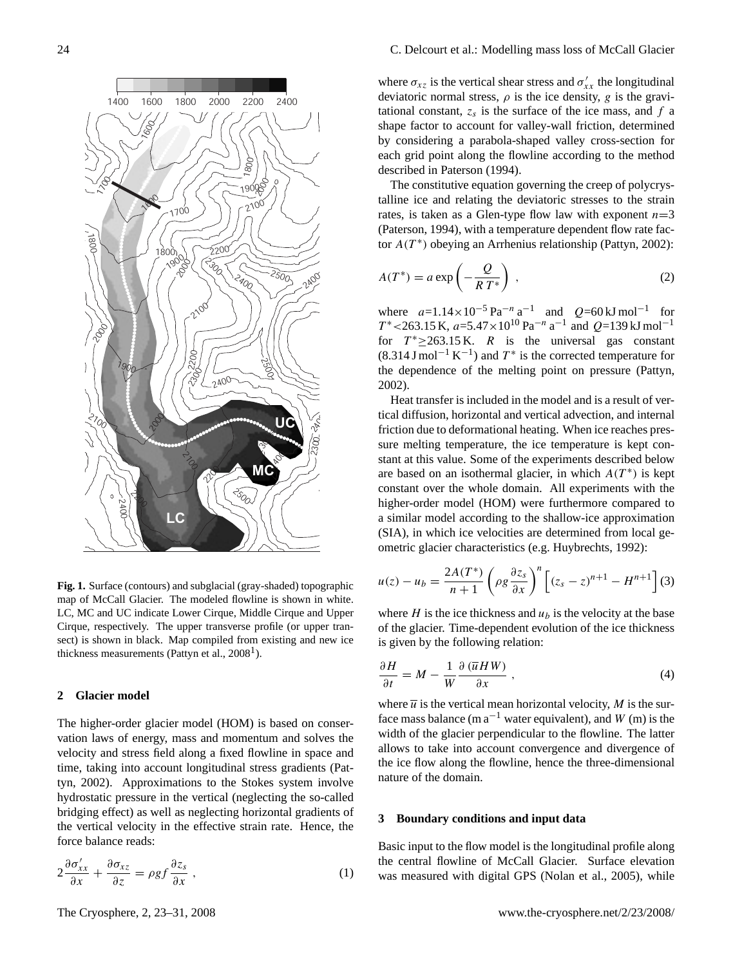

<span id="page-1-0"></span>**Fig. 1.** Surface (contours) and subglacial (gray-shaded) topographic map of McCall Glacier. The modeled flowline is shown in white. LC, MC and UC indicate Lower Cirque, Middle Cirque and Upper Cirque, respectively. The upper transverse profile (or upper transect) is shown in black. Map compiled from existing and new ice thickness measurements (Pattyn et al.,  $2008<sup>1</sup>$  $2008<sup>1</sup>$  $2008<sup>1</sup>$ ).

## **2 Glacier model**

The higher-order glacier model (HOM) is based on conservation laws of energy, mass and momentum and solves the velocity and stress field along a fixed flowline in space and time, taking into account longitudinal stress gradients [\(Pat](#page-8-4)[tyn,](#page-8-4) [2002\)](#page-8-4). Approximations to the Stokes system involve hydrostatic pressure in the vertical (neglecting the so-called bridging effect) as well as neglecting horizontal gradients of the vertical velocity in the effective strain rate. Hence, the force balance reads:

$$
2\frac{\partial \sigma'_{xx}}{\partial x} + \frac{\partial \sigma_{xz}}{\partial z} = \rho g f \frac{\partial z_s}{\partial x} , \qquad (1)
$$

where  $\sigma_{xz}$  is the vertical shear stress and  $\sigma'_{xx}$  the longitudinal deviatoric normal stress,  $\rho$  is the ice density, g is the gravitational constant,  $z_s$  is the surface of the ice mass, and  $f$  a shape factor to account for valley-wall friction, determined by considering a parabola-shaped valley cross-section for each grid point along the flowline according to the method described in [Paterson](#page-8-5) [\(1994\)](#page-8-5).

The constitutive equation governing the creep of polycrystalline ice and relating the deviatoric stresses to the strain rates, is taken as a Glen-type flow law with exponent  $n=3$ [\(Paterson,](#page-8-5) [1994\)](#page-8-5), with a temperature dependent flow rate factor  $A(T^*)$  obeying an Arrhenius relationship [\(Pattyn,](#page-8-4) [2002\)](#page-8-4):

$$
A(T^*) = a \exp\left(-\frac{Q}{RT^*}\right) \,,\tag{2}
$$

where  $a=1.14\times10^{-5}$  Pa<sup>-n</sup> a<sup>-1</sup> and  $Q=60$  kJ mol<sup>-1</sup> for  $T^*$  <263.15 K,  $a=5.47\times10^{10}$  Pa<sup>-n</sup> a<sup>-1</sup> and Q=139 kJ mol<sup>-1</sup> for  $T^* \ge 263.15 \text{ K}$ . R is the universal gas constant  $(8.314 \text{ J mol}^{-1} \text{ K}^{-1})$  and  $T^*$  is the corrected temperature for the dependence of the melting point on pressure [\(Pattyn,](#page-8-4) [2002\)](#page-8-4).

Heat transfer is included in the model and is a result of vertical diffusion, horizontal and vertical advection, and internal friction due to deformational heating. When ice reaches pressure melting temperature, the ice temperature is kept constant at this value. Some of the experiments described below are based on an isothermal glacier, in which  $A(T^*)$  is kept constant over the whole domain. All experiments with the higher-order model (HOM) were furthermore compared to a similar model according to the shallow-ice approximation (SIA), in which ice velocities are determined from local geometric glacier characteristics (e.g. [Huybrechts,](#page-7-1) [1992\)](#page-7-1):

$$
u(z) - u_b = \frac{2A(T^*)}{n+1} \left( \rho g \frac{\partial z_s}{\partial x} \right)^n \left[ (z_s - z)^{n+1} - H^{n+1} \right] (3)
$$

where  $H$  is the ice thickness and  $u<sub>b</sub>$  is the velocity at the base of the glacier. Time-dependent evolution of the ice thickness is given by the following relation:

<span id="page-1-1"></span>
$$
\frac{\partial H}{\partial t} = M - \frac{1}{W} \frac{\partial (\overline{u} H W)}{\partial x}, \qquad (4)
$$

where  $\overline{u}$  is the vertical mean horizontal velocity, M is the surface mass balance (m  $a^{-1}$  water equivalent), and W (m) is the width of the glacier perpendicular to the flowline. The latter allows to take into account convergence and divergence of the ice flow along the flowline, hence the three-dimensional nature of the domain.

### **3 Boundary conditions and input data**

Basic input to the flow model is the longitudinal profile along the central flowline of McCall Glacier. Surface elevation was measured with digital GPS [\(Nolan et al.,](#page-8-0) [2005\)](#page-8-0), while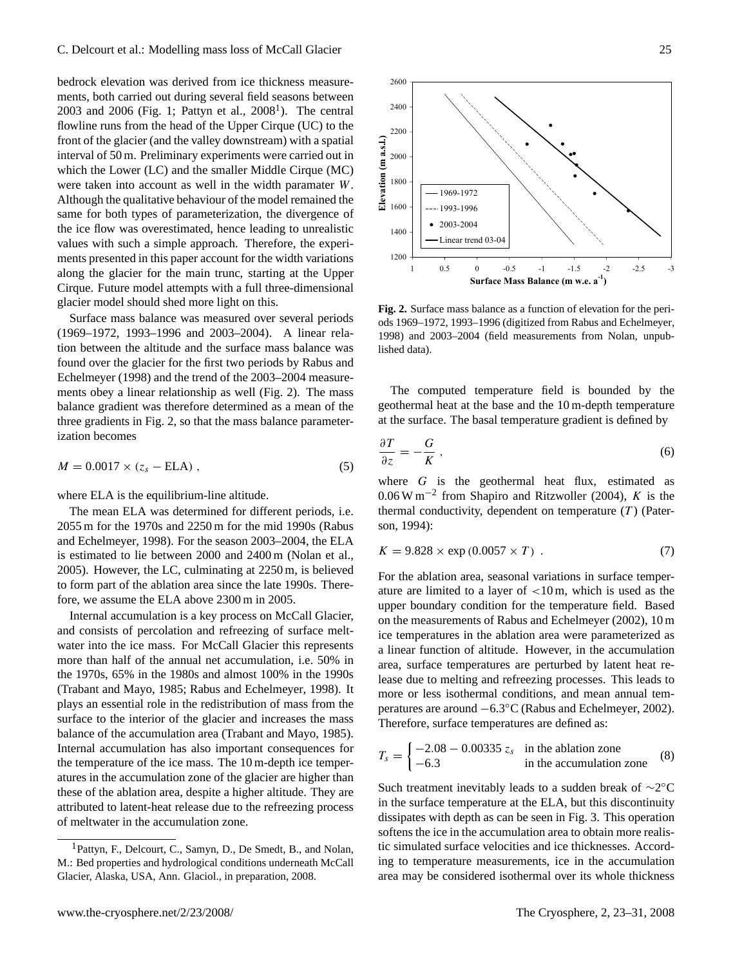bedrock elevation was derived from ice thickness measurements, both carried out during several field seasons between  $2003$  and  $2006$  (Fig. [1;](#page-1-0) Pattyn et al.,  $2008<sup>1</sup>$  $2008<sup>1</sup>$  $2008<sup>1</sup>$ ). The central flowline runs from the head of the Upper Cirque (UC) to the front of the glacier (and the valley downstream) with a spatial interval of 50 m. Preliminary experiments were carried out in which the Lower (LC) and the smaller Middle Cirque (MC) were taken into account as well in the width paramater W. Although the qualitative behaviour of the model remained the same for both types of parameterization, the divergence of the ice flow was overestimated, hence leading to unrealistic values with such a simple approach. Therefore, the experiments presented in this paper account for the width variations along the glacier for the main trunc, starting at the Upper Cirque. Future model attempts with a full three-dimensional glacier model should shed more light on this.

Surface mass balance was measured over several periods (1969–1972, 1993–1996 and 2003–2004). A linear relation between the altitude and the surface mass balance was found over the glacier for the first two periods by [Rabus and](#page-8-3) [Echelmeyer](#page-8-3) [\(1998\)](#page-8-3) and the trend of the 2003–2004 measurements obey a linear relationship as well (Fig. [2\)](#page-2-1). The mass balance gradient was therefore determined as a mean of the three gradients in Fig. [2,](#page-2-1) so that the mass balance parameterization becomes

$$
M = 0.0017 \times (z_s - \text{ELA}), \qquad (5)
$$

where ELA is the equilibrium-line altitude.

The mean ELA was determined for different periods, i.e. 2055 m for the 1970s and 2250 m for the mid 1990s [\(Rabus](#page-8-3) [and Echelmeyer,](#page-8-3) [1998\)](#page-8-3). For the season 2003–2004, the ELA is estimated to lie between 2000 and 2400 m [\(Nolan et al.,](#page-8-0) [2005\)](#page-8-0). However, the LC, culminating at 2250 m, is believed to form part of the ablation area since the late 1990s. Therefore, we assume the ELA above 2300 m in 2005.

Internal accumulation is a key process on McCall Glacier, and consists of percolation and refreezing of surface meltwater into the ice mass. For McCall Glacier this represents more than half of the annual net accumulation, i.e. 50% in the 1970s, 65% in the 1980s and almost 100% in the 1990s [\(Trabant and Mayo,](#page-8-6) [1985;](#page-8-6) [Rabus and Echelmeyer,](#page-8-3) [1998\)](#page-8-3). It plays an essential role in the redistribution of mass from the surface to the interior of the glacier and increases the mass balance of the accumulation area [\(Trabant and Mayo,](#page-8-6) [1985\)](#page-8-6). Internal accumulation has also important consequences for the temperature of the ice mass. The 10 m-depth ice temperatures in the accumulation zone of the glacier are higher than these of the ablation area, despite a higher altitude. They are attributed to latent-heat release due to the refreezing process of meltwater in the accumulation zone.



<span id="page-2-1"></span>**Fig. 2.** Surface mass balance as a function of elevation for the periods 1969–1972, 1993–1996 (digitized from [Rabus and Echelmeyer,](#page-8-3) [1998\)](#page-8-3) and 2003–2004 (field measurements from Nolan, unpublished data).

The computed temperature field is bounded by the geothermal heat at the base and the 10 m-depth temperature at the surface. The basal temperature gradient is defined by

$$
\frac{\partial T}{\partial z} = -\frac{G}{K} \,,\tag{6}
$$

where  $G$  is the geothermal heat flux, estimated as 0.06 W m−<sup>2</sup> from [Shapiro and Ritzwoller](#page-8-7) [\(2004\)](#page-8-7), K is the thermal conductivity, dependent on temperature  $(T)$  [\(Pater](#page-8-5)[son,](#page-8-5) [1994\)](#page-8-5):

$$
K = 9.828 \times \exp(0.0057 \times T) \tag{7}
$$

For the ablation area, seasonal variations in surface temperature are limited to a layer of <10 m, which is used as the upper boundary condition for the temperature field. Based on the measurements of [Rabus and Echelmeyer](#page-8-8) [\(2002\)](#page-8-8), 10 m ice temperatures in the ablation area were parameterized as a linear function of altitude. However, in the accumulation area, surface temperatures are perturbed by latent heat release due to melting and refreezing processes. This leads to more or less isothermal conditions, and mean annual temperatures are around −6.3◦C [\(Rabus and Echelmeyer,](#page-8-8) [2002\)](#page-8-8). Therefore, surface temperatures are defined as:

$$
T_s = \begin{cases} -2.08 - 0.00335 z_s & \text{in the ablation zone} \\ -6.3 & \text{in the accumulation zone} \end{cases}
$$
 (8)

Such treatment inevitably leads to a sudden break of ~2°C in the surface temperature at the ELA, but this discontinuity dissipates with depth as can be seen in Fig. [3.](#page-3-0) This operation softens the ice in the accumulation area to obtain more realistic simulated surface velocities and ice thicknesses. According to temperature measurements, ice in the accumulation area may be considered isothermal over its whole thickness

<span id="page-2-0"></span><sup>1</sup>Pattyn, F., Delcourt, C., Samyn, D., De Smedt, B., and Nolan, M.: Bed properties and hydrological conditions underneath McCall Glacier, Alaska, USA, Ann. Glaciol., in preparation, 2008.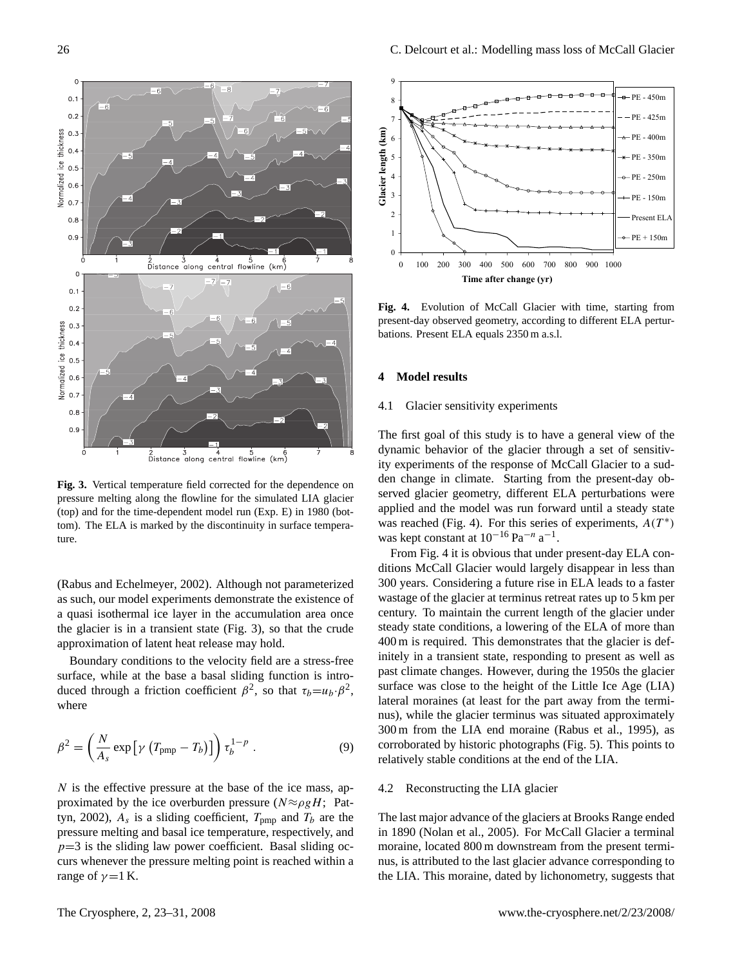

<span id="page-3-0"></span>**Fig. 3.** Vertical temperature field corrected for the dependence on pressure melting along the flowline for the simulated LIA glacier (top) and for the time-dependent model run (Exp. E) in 1980 (bottom). The ELA is marked by the discontinuity in surface temperature.

[\(Rabus and Echelmeyer,](#page-8-8) [2002\)](#page-8-8). Although not parameterized as such, our model experiments demonstrate the existence of a quasi isothermal ice layer in the accumulation area once the glacier is in a transient state (Fig. [3\)](#page-3-0), so that the crude approximation of latent heat release may hold.

Boundary conditions to the velocity field are a stress-free surface, while at the base a basal sliding function is introduced through a friction coefficient  $\beta^2$ , so that  $\tau_b = u_b \cdot \beta^2$ , where

<span id="page-3-2"></span>
$$
\beta^2 = \left(\frac{N}{A_s} \exp\left[\gamma \left(T_{\text{pmp}} - T_b\right)\right]\right) \tau_b^{1-p} \,. \tag{9}
$$

 $N$  is the effective pressure at the base of the ice mass, approximated by the ice overburden pressure ( $N \approx \rho g H$ ; [Pat](#page-8-4)[tyn,](#page-8-4) [2002\)](#page-8-4),  $A_s$  is a sliding coefficient,  $T_{\text{pmp}}$  and  $T_b$  are the pressure melting and basal ice temperature, respectively, and  $p=3$  is the sliding law power coefficient. Basal sliding occurs whenever the pressure melting point is reached within a range of  $\gamma = 1$  K.



<span id="page-3-1"></span>**Fig. 4.** Evolution of McCall Glacier with time, starting from present-day observed geometry, according to different ELA perturbations. Present ELA equals 2350 m a.s.l.

# **4 Model results**

# 4.1 Glacier sensitivity experiments

The first goal of this study is to have a general view of the dynamic behavior of the glacier through a set of sensitivity experiments of the response of McCall Glacier to a sudden change in climate. Starting from the present-day observed glacier geometry, different ELA perturbations were applied and the model was run forward until a steady state was reached (Fig. [4\)](#page-3-1). For this series of experiments,  $A(T^*)$ was kept constant at  $10^{-16}$  Pa<sup>-n</sup> a<sup>-1</sup>.

From Fig. [4](#page-3-1) it is obvious that under present-day ELA conditions McCall Glacier would largely disappear in less than 300 years. Considering a future rise in ELA leads to a faster wastage of the glacier at terminus retreat rates up to 5 km per century. To maintain the current length of the glacier under steady state conditions, a lowering of the ELA of more than 400 m is required. This demonstrates that the glacier is definitely in a transient state, responding to present as well as past climate changes. However, during the 1950s the glacier surface was close to the height of the Little Ice Age (LIA) lateral moraines (at least for the part away from the terminus), while the glacier terminus was situated approximately 300 m from the LIA end moraine [\(Rabus et al.,](#page-8-2) [1995\)](#page-8-2), as corroborated by historic photographs (Fig. [5\)](#page-4-0). This points to relatively stable conditions at the end of the LIA.

#### 4.2 Reconstructing the LIA glacier

The last major advance of the glaciers at Brooks Range ended in 1890 [\(Nolan et al.,](#page-8-0) [2005\)](#page-8-0). For McCall Glacier a terminal moraine, located 800 m downstream from the present terminus, is attributed to the last glacier advance corresponding to the LIA. This moraine, dated by lichonometry, suggests that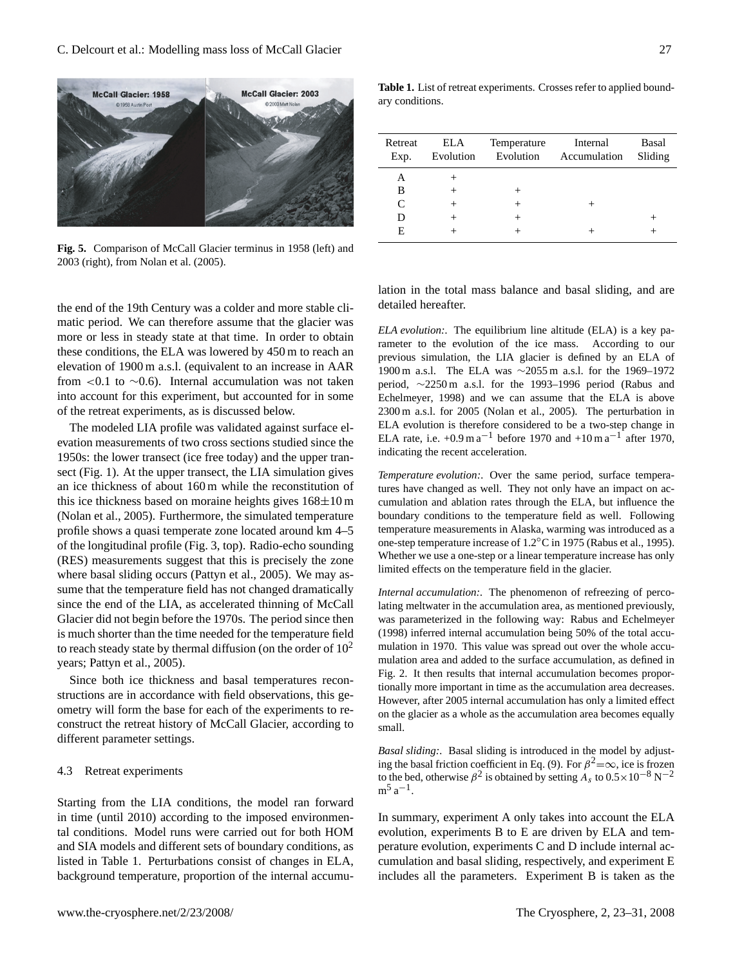

<span id="page-4-0"></span>**Fig. 5.** Comparison of McCall Glacier terminus in 1958 (left) and 2003 (right), from [Nolan et al.](#page-8-0) [\(2005\)](#page-8-0).

the end of the 19th Century was a colder and more stable climatic period. We can therefore assume that the glacier was more or less in steady state at that time. In order to obtain these conditions, the ELA was lowered by 450 m to reach an elevation of 1900 m a.s.l. (equivalent to an increase in AAR from <0.1 to  $\sim$ 0.6). Internal accumulation was not taken into account for this experiment, but accounted for in some of the retreat experiments, as is discussed below.

The modeled LIA profile was validated against surface elevation measurements of two cross sections studied since the 1950s: the lower transect (ice free today) and the upper transect (Fig. [1\)](#page-1-0). At the upper transect, the LIA simulation gives an ice thickness of about 160 m while the reconstitution of this ice thickness based on moraine heights gives  $168 \pm 10$  m [\(Nolan et al.,](#page-8-0) [2005\)](#page-8-0). Furthermore, the simulated temperature profile shows a quasi temperate zone located around km 4–5 of the longitudinal profile (Fig. 3, top). Radio-echo sounding (RES) measurements suggest that this is precisely the zone where basal sliding occurs [\(Pattyn et al.,](#page-8-1) [2005\)](#page-8-1). We may assume that the temperature field has not changed dramatically since the end of the LIA, as accelerated thinning of McCall Glacier did not begin before the 1970s. The period since then is much shorter than the time needed for the temperature field to reach steady state by thermal diffusion (on the order of  $10<sup>2</sup>$ years; [Pattyn et al.,](#page-8-1) [2005\)](#page-8-1).

Since both ice thickness and basal temperatures reconstructions are in accordance with field observations, this geometry will form the base for each of the experiments to reconstruct the retreat history of McCall Glacier, according to different parameter settings.

#### 4.3 Retreat experiments

Starting from the LIA conditions, the model ran forward in time (until 2010) according to the imposed environmental conditions. Model runs were carried out for both HOM and SIA models and different sets of boundary conditions, as listed in Table [1.](#page-4-1) Perturbations consist of changes in ELA, background temperature, proportion of the internal accumu-

<span id="page-4-1"></span>**Table 1.** List of retreat experiments. Crosses refer to applied boundary conditions.

| Retreat<br>Exp. | ELA    | Temperature | Internal<br>Evolution Evolution Accumulation | Basal<br>Sliding |
|-----------------|--------|-------------|----------------------------------------------|------------------|
| А               |        |             |                                              |                  |
| B               |        |             |                                              |                  |
| C               | $^+$   |             | $^+$                                         |                  |
| D               | $^{+}$ |             |                                              |                  |
| E               |        |             |                                              |                  |

lation in the total mass balance and basal sliding, and are detailed hereafter.

*ELA evolution:.* The equilibrium line altitude (ELA) is a key parameter to the evolution of the ice mass. According to our previous simulation, the LIA glacier is defined by an ELA of 1900 m a.s.l. The ELA was ∼2055 m a.s.l. for the 1969–1972 period, ∼2250 m a.s.l. for the 1993–1996 period [\(Rabus and](#page-8-3) [Echelmeyer,](#page-8-3) [1998\)](#page-8-3) and we can assume that the ELA is above 2300 m a.s.l. for 2005 [\(Nolan et al.,](#page-8-0) [2005\)](#page-8-0). The perturbation in ELA evolution is therefore considered to be a two-step change in ELA rate, i.e.  $+0.9 \text{ m a}^{-1}$  before 1970 and  $+10 \text{ m a}^{-1}$  after 1970, indicating the recent acceleration.

*Temperature evolution:.* Over the same period, surface temperatures have changed as well. They not only have an impact on accumulation and ablation rates through the ELA, but influence the boundary conditions to the temperature field as well. Following temperature measurements in Alaska, warming was introduced as a one-step temperature increase of 1.2◦C in 1975 [\(Rabus et al.,](#page-8-2) [1995\)](#page-8-2). Whether we use a one-step or a linear temperature increase has only limited effects on the temperature field in the glacier.

*Internal accumulation:.* The phenomenon of refreezing of percolating meltwater in the accumulation area, as mentioned previously, was parameterized in the following way: [Rabus and Echelmeyer](#page-8-3) [\(1998\)](#page-8-3) inferred internal accumulation being 50% of the total accumulation in 1970. This value was spread out over the whole accumulation area and added to the surface accumulation, as defined in Fig. [2.](#page-2-1) It then results that internal accumulation becomes proportionally more important in time as the accumulation area decreases. However, after 2005 internal accumulation has only a limited effect on the glacier as a whole as the accumulation area becomes equally small.

*Basal sliding:.* Basal sliding is introduced in the model by adjust-ing the basal friction coefficient in Eq. [\(9\)](#page-3-2). For  $\beta^2 = \infty$ , ice is frozen to the bed, otherwise  $\beta^2$  is obtained by setting  $A_s$  to  $0.5 \times 10^{-8}$  N<sup>-2</sup>  $m^5 a^{-1}$ .

In summary, experiment A only takes into account the ELA evolution, experiments B to E are driven by ELA and temperature evolution, experiments C and D include internal accumulation and basal sliding, respectively, and experiment E includes all the parameters. Experiment B is taken as the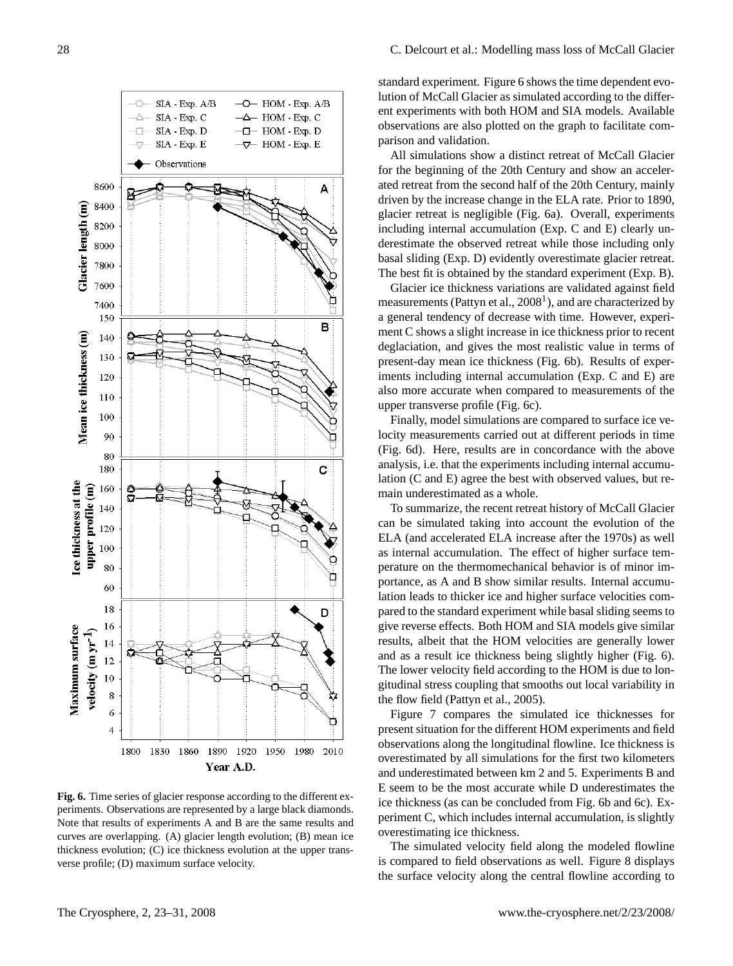

<span id="page-5-0"></span>**Fig. 6.** Time series of glacier response according to the different experiments. Observations are represented by a large black diamonds. Note that results of experiments A and B are the same results and curves are overlapping. (A) glacier length evolution; (B) mean ice thickness evolution; (C) ice thickness evolution at the upper transverse profile; (D) maximum surface velocity.

standard experiment. Figure [6](#page-5-0) shows the time dependent evolution of McCall Glacier as simulated according to the different experiments with both HOM and SIA models. Available observations are also plotted on the graph to facilitate comparison and validation.

All simulations show a distinct retreat of McCall Glacier for the beginning of the 20th Century and show an accelerated retreat from the second half of the 20th Century, mainly driven by the increase change in the ELA rate. Prior to 1890, glacier retreat is negligible (Fig. [6a](#page-5-0)). Overall, experiments including internal accumulation (Exp. C and E) clearly underestimate the observed retreat while those including only basal sliding (Exp. D) evidently overestimate glacier retreat. The best fit is obtained by the standard experiment (Exp. B).

Glacier ice thickness variations are validated against field measurements (Pattyn et al., 2008<sup>[1](#page-2-0)</sup>), and are characterized by a general tendency of decrease with time. However, experiment C shows a slight increase in ice thickness prior to recent deglaciation, and gives the most realistic value in terms of present-day mean ice thickness (Fig. 6b). Results of experiments including internal accumulation (Exp. C and E) are also more accurate when compared to measurements of the upper transverse profile (Fig. 6c).

Finally, model simulations are compared to surface ice velocity measurements carried out at different periods in time (Fig. [6d](#page-5-0)). Here, results are in concordance with the above analysis, i.e. that the experiments including internal accumulation (C and E) agree the best with observed values, but remain underestimated as a whole.

To summarize, the recent retreat history of McCall Glacier can be simulated taking into account the evolution of the ELA (and accelerated ELA increase after the 1970s) as well as internal accumulation. The effect of higher surface temperature on the thermomechanical behavior is of minor importance, as A and B show similar results. Internal accumulation leads to thicker ice and higher surface velocities compared to the standard experiment while basal sliding seems to give reverse effects. Both HOM and SIA models give similar results, albeit that the HOM velocities are generally lower and as a result ice thickness being slightly higher (Fig. [6\)](#page-5-0). The lower velocity field according to the HOM is due to longitudinal stress coupling that smooths out local variability in the flow field [\(Pattyn et al.,](#page-8-1) [2005\)](#page-8-1).

Figure [7](#page-6-0) compares the simulated ice thicknesses for present situation for the different HOM experiments and field observations along the longitudinal flowline. Ice thickness is overestimated by all simulations for the first two kilometers and underestimated between km 2 and 5. Experiments B and E seem to be the most accurate while D underestimates the ice thickness (as can be concluded from Fig. [6b](#page-5-0) and [6c](#page-5-0)). Experiment C, which includes internal accumulation, is slightly overestimating ice thickness.

The simulated velocity field along the modeled flowline is compared to field observations as well. Figure [8](#page-6-1) displays the surface velocity along the central flowline according to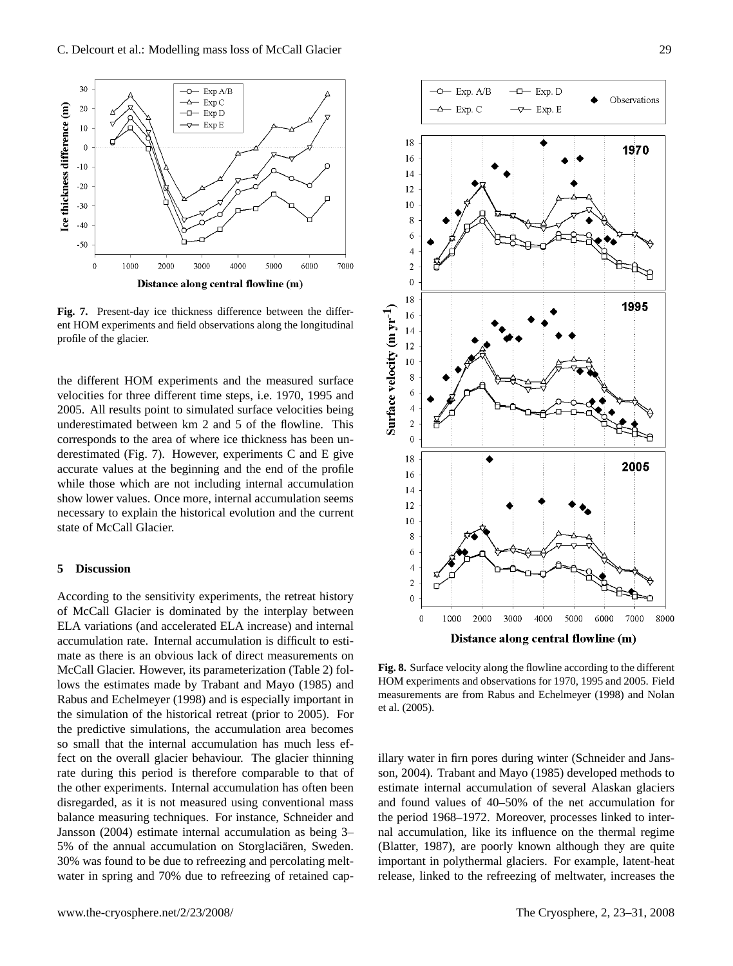

<span id="page-6-0"></span>**Fig. 7.** Present-day ice thickness difference between the different HOM experiments and field observations along the longitudinal profile of the glacier.

the different HOM experiments and the measured surface velocities for three different time steps, i.e. 1970, 1995 and 2005. All results point to simulated surface velocities being underestimated between km 2 and 5 of the flowline. This corresponds to the area of where ice thickness has been underestimated (Fig. [7\)](#page-6-0). However, experiments C and E give accurate values at the beginning and the end of the profile while those which are not including internal accumulation show lower values. Once more, internal accumulation seems necessary to explain the historical evolution and the current state of McCall Glacier.

# **5 Discussion**

According to the sensitivity experiments, the retreat history of McCall Glacier is dominated by the interplay between ELA variations (and accelerated ELA increase) and internal accumulation rate. Internal accumulation is difficult to estimate as there is an obvious lack of direct measurements on McCall Glacier. However, its parameterization (Table [2\)](#page-7-2) follows the estimates made by [Trabant and Mayo](#page-8-6) [\(1985\)](#page-8-6) and [Rabus and Echelmeyer](#page-8-3) [\(1998\)](#page-8-3) and is especially important in the simulation of the historical retreat (prior to 2005). For the predictive simulations, the accumulation area becomes so small that the internal accumulation has much less effect on the overall glacier behaviour. The glacier thinning rate during this period is therefore comparable to that of the other experiments. Internal accumulation has often been disregarded, as it is not measured using conventional mass balance measuring techniques. For instance, [Schneider and](#page-8-9) [Jansson](#page-8-9) [\(2004\)](#page-8-9) estimate internal accumulation as being 3– 5% of the annual accumulation on Storglaciaren, Sweden. 30% was found to be due to refreezing and percolating meltwater in spring and 70% due to refreezing of retained cap-



<span id="page-6-1"></span>**Fig. 8.** Surface velocity along the flowline according to the different HOM experiments and observations for 1970, 1995 and 2005. Field measurements are from [Rabus and Echelmeyer](#page-8-3) [\(1998\)](#page-8-3) and [Nolan](#page-8-0) [et al.](#page-8-0) [\(2005\)](#page-8-0).

illary water in firn pores during winter [\(Schneider and Jans](#page-8-9)[son,](#page-8-9) [2004\)](#page-8-9). [Trabant and Mayo](#page-8-6) [\(1985\)](#page-8-6) developed methods to estimate internal accumulation of several Alaskan glaciers and found values of 40–50% of the net accumulation for the period 1968–1972. Moreover, processes linked to internal accumulation, like its influence on the thermal regime [\(Blatter,](#page-7-3) [1987\)](#page-7-3), are poorly known although they are quite important in polythermal glaciers. For example, latent-heat release, linked to the refreezing of meltwater, increases the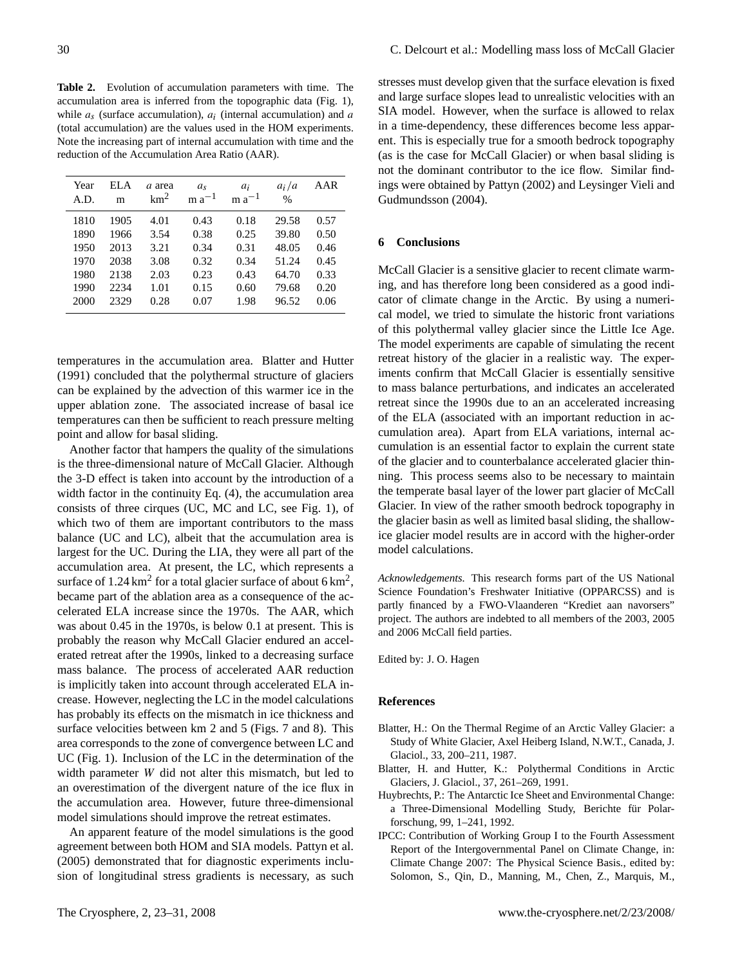<span id="page-7-2"></span>**Table 2.** Evolution of accumulation parameters with time. The accumulation area is inferred from the topographic data (Fig. [1\)](#page-1-0), while  $a_s$  (surface accumulation),  $a_i$  (internal accumulation) and a (total accumulation) are the values used in the HOM experiments. Note the increasing part of internal accumulation with time and the reduction of the Accumulation Area Ratio (AAR).

| Year<br>A.D. | EL A<br>m | a area<br>km <sup>2</sup> | a <sub>s</sub><br>$m a^{-1}$ | $a_i$<br>$m a^{-1}$ | $a_i/a$<br>$\frac{0}{0}$ | AAR  |
|--------------|-----------|---------------------------|------------------------------|---------------------|--------------------------|------|
| 1810         | 1905      | 4.01                      | 0.43                         | 0.18                | 29.58                    | 0.57 |
| 1890         | 1966      | 3.54                      | 0.38                         | 0.25                | 39.80                    | 0.50 |
| 1950         | 2013      | 3.21                      | 0.34                         | 0.31                | 48.05                    | 0.46 |
| 1970         | 2038      | 3.08                      | 0.32                         | 0.34                | 51.24                    | 0.45 |
| 1980         | 2138      | 2.03                      | 0.23                         | 0.43                | 64.70                    | 0.33 |
| 1990         | 2234      | 1.01                      | 0.15                         | 0.60                | 79.68                    | 0.20 |
| 2000         | 2329      | 0.28                      | 0.07                         | 1.98                | 96.52                    | 0.06 |

temperatures in the accumulation area. [Blatter and Hutter](#page-7-4) [\(1991\)](#page-7-4) concluded that the polythermal structure of glaciers can be explained by the advection of this warmer ice in the upper ablation zone. The associated increase of basal ice temperatures can then be sufficient to reach pressure melting point and allow for basal sliding.

Another factor that hampers the quality of the simulations is the three-dimensional nature of McCall Glacier. Although the 3-D effect is taken into account by the introduction of a width factor in the continuity Eq. [\(4\)](#page-1-1), the accumulation area consists of three cirques (UC, MC and LC, see Fig. [1\)](#page-1-0), of which two of them are important contributors to the mass balance (UC and LC), albeit that the accumulation area is largest for the UC. During the LIA, they were all part of the accumulation area. At present, the LC, which represents a surface of 1.24 km<sup>2</sup> for a total glacier surface of about 6 km<sup>2</sup>, became part of the ablation area as a consequence of the accelerated ELA increase since the 1970s. The AAR, which was about 0.45 in the 1970s, is below 0.1 at present. This is probably the reason why McCall Glacier endured an accelerated retreat after the 1990s, linked to a decreasing surface mass balance. The process of accelerated AAR reduction is implicitly taken into account through accelerated ELA increase. However, neglecting the LC in the model calculations has probably its effects on the mismatch in ice thickness and surface velocities between km 2 and 5 (Figs. [7](#page-6-0) and [8\)](#page-6-1). This area corresponds to the zone of convergence between LC and UC (Fig. [1\)](#page-1-0). Inclusion of the LC in the determination of the width parameter W did not alter this mismatch, but led to an overestimation of the divergent nature of the ice flux in the accumulation area. However, future three-dimensional model simulations should improve the retreat estimates.

An apparent feature of the model simulations is the good agreement between both HOM and SIA models. [Pattyn et al.](#page-8-1) [\(2005\)](#page-8-1) demonstrated that for diagnostic experiments inclusion of longitudinal stress gradients is necessary, as such

stresses must develop given that the surface elevation is fixed and large surface slopes lead to unrealistic velocities with an SIA model. However, when the surface is allowed to relax in a time-dependency, these differences become less apparent. This is especially true for a smooth bedrock topography (as is the case for McCall Glacier) or when basal sliding is not the dominant contributor to the ice flow. Similar findings were obtained by [Pattyn](#page-8-4) [\(2002\)](#page-8-4) and [Leysinger Vieli and](#page-8-10) [Gudmundsson](#page-8-10) [\(2004\)](#page-8-10).

# **6 Conclusions**

McCall Glacier is a sensitive glacier to recent climate warming, and has therefore long been considered as a good indicator of climate change in the Arctic. By using a numerical model, we tried to simulate the historic front variations of this polythermal valley glacier since the Little Ice Age. The model experiments are capable of simulating the recent retreat history of the glacier in a realistic way. The experiments confirm that McCall Glacier is essentially sensitive to mass balance perturbations, and indicates an accelerated retreat since the 1990s due to an an accelerated increasing of the ELA (associated with an important reduction in accumulation area). Apart from ELA variations, internal accumulation is an essential factor to explain the current state of the glacier and to counterbalance accelerated glacier thinning. This process seems also to be necessary to maintain the temperate basal layer of the lower part glacier of McCall Glacier. In view of the rather smooth bedrock topography in the glacier basin as well as limited basal sliding, the shallowice glacier model results are in accord with the higher-order model calculations.

*Acknowledgements.* This research forms part of the US National Science Foundation's Freshwater Initiative (OPPARCSS) and is partly financed by a FWO-Vlaanderen "Krediet aan navorsers" project. The authors are indebted to all members of the 2003, 2005 and 2006 McCall field parties.

Edited by: J. O. Hagen

#### **References**

- <span id="page-7-3"></span>Blatter, H.: On the Thermal Regime of an Arctic Valley Glacier: a Study of White Glacier, Axel Heiberg Island, N.W.T., Canada, J. Glaciol., 33, 200–211, 1987.
- <span id="page-7-4"></span>Blatter, H. and Hutter, K.: Polythermal Conditions in Arctic Glaciers, J. Glaciol., 37, 261–269, 1991.
- <span id="page-7-1"></span>Huybrechts, P.: The Antarctic Ice Sheet and Environmental Change: a Three-Dimensional Modelling Study, Berichte für Polarforschung, 99, 1–241, 1992.
- <span id="page-7-0"></span>IPCC: Contribution of Working Group I to the Fourth Assessment Report of the Intergovernmental Panel on Climate Change, in: Climate Change 2007: The Physical Science Basis., edited by: Solomon, S., Qin, D., Manning, M., Chen, Z., Marquis, M.,